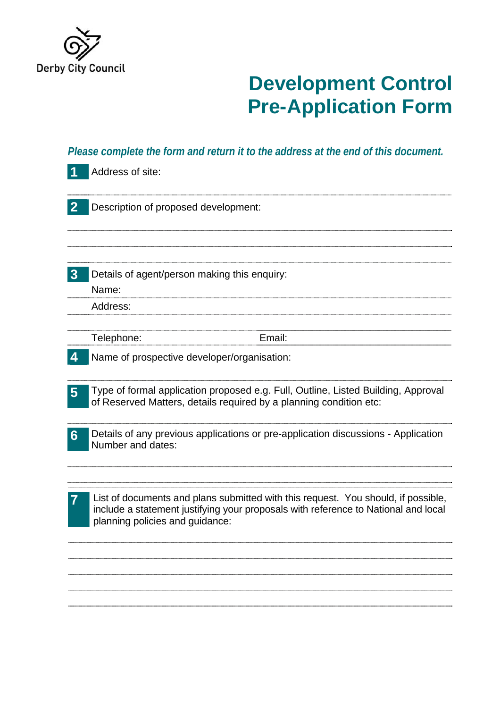

## **Development Control Pre-Application Form**

|                  | Please complete the form and return it to the address at the end of this document.                                                                                                                         |
|------------------|------------------------------------------------------------------------------------------------------------------------------------------------------------------------------------------------------------|
|                  | Address of site:                                                                                                                                                                                           |
| $\mathbf 2$      | Description of proposed development:                                                                                                                                                                       |
| $\boldsymbol{3}$ | Details of agent/person making this enquiry:<br>Name:                                                                                                                                                      |
|                  | Address:                                                                                                                                                                                                   |
|                  | Email:<br>Telephone:                                                                                                                                                                                       |
|                  | Name of prospective developer/organisation:                                                                                                                                                                |
| 5                | Type of formal application proposed e.g. Full, Outline, Listed Building, Approval<br>of Reserved Matters, details required by a planning condition etc:                                                    |
| $6\phantom{1}6$  | Details of any previous applications or pre-application discussions - Application<br>Number and dates:                                                                                                     |
|                  | List of documents and plans submitted with this request. You should, if possible,<br>include a statement justifying your proposals with reference to National and local<br>planning policies and guidance: |
|                  |                                                                                                                                                                                                            |
|                  |                                                                                                                                                                                                            |
|                  |                                                                                                                                                                                                            |